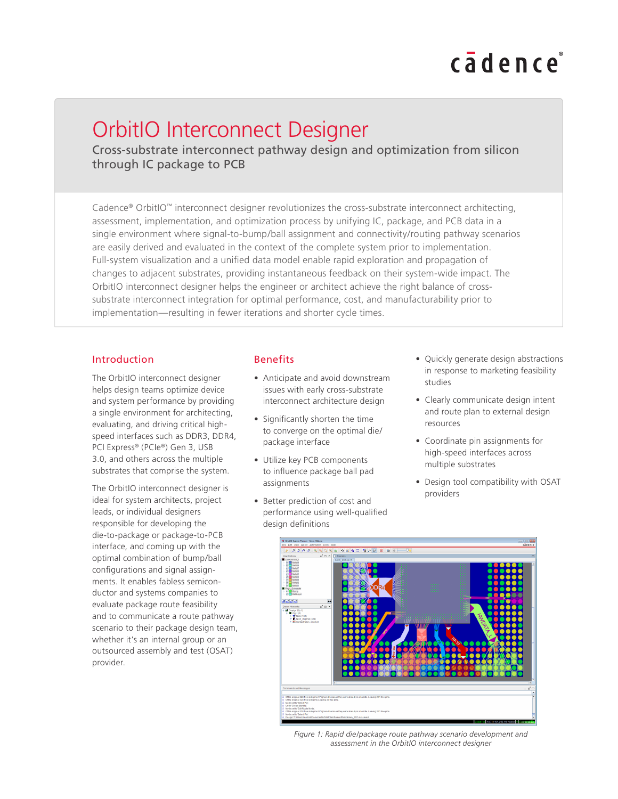# cadence

# OrbitIO Interconnect Designer

Cross-substrate interconnect pathway design and optimization from silicon through IC package to PCB

Cadence® OrbitIO™ interconnect designer revolutionizes the cross-substrate interconnect architecting, assessment, implementation, and optimization process by unifying IC, package, and PCB data in a single environment where signal-to-bump/ball assignment and connectivity/routing pathway scenarios are easily derived and evaluated in the context of the complete system prior to implementation. Full-system visualization and a unified data model enable rapid exploration and propagation of changes to adjacent substrates, providing instantaneous feedback on their system-wide impact. The OrbitIO interconnect designer helps the engineer or architect achieve the right balance of crosssubstrate interconnect integration for optimal performance, cost, and manufacturability prior to implementation—resulting in fewer iterations and shorter cycle times.

#### Introduction

The OrbitIO interconnect designer helps design teams optimize device and system performance by providing a single environment for architecting, evaluating, and driving critical highspeed interfaces such as DDR3, DDR4, PCI Express® (PCIe®) Gen 3, USB 3.0, and others across the multiple substrates that comprise the system.

The OrbitIO interconnect designer is ideal for system architects, project leads, or individual designers responsible for developing the die-to-package or package-to-PCB interface, and coming up with the optimal combination of bump/ball configurations and signal assignments. It enables fabless semiconductor and systems companies to evaluate package route feasibility and to communicate a route pathway scenario to their package design team, whether it's an internal group or an outsourced assembly and test (OSAT) provider.

# Benefits

- Anticipate and avoid downstream issues with early cross-substrate interconnect architecture design
- Significantly shorten the time to converge on the optimal die/ package interface
- Utilize key PCB components to influence package ball pad assignments
- Better prediction of cost and performance using well-qualified design definitions
- Quickly generate design abstractions in response to marketing feasibility studies
- Clearly communicate design intent and route plan to external design resources
- Coordinate pin assignments for high-speed interfaces across multiple substrates
- Design tool compatibility with OSAT providers



*Figure 1: Rapid die/package route pathway scenario development and assessment in the OrbitIO interconnect designer*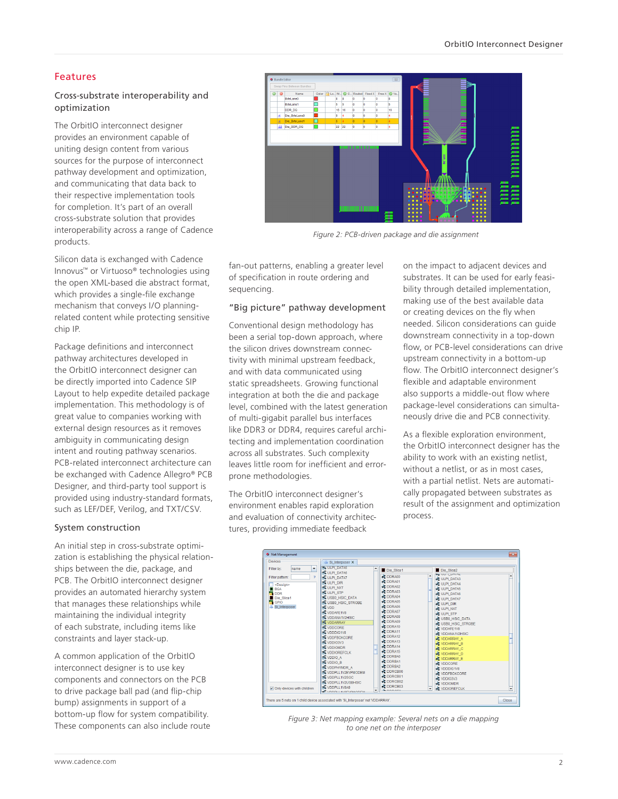# Features

# Cross-substrate interoperability and optimization

The OrbitIO interconnect designer provides an environment capable of uniting design content from various sources for the purpose of interconnect pathway development and optimization, and communicating that data back to their respective implementation tools for completion. It's part of an overall cross-substrate solution that provides interoperability across a range of Cadence products.

Silicon data is exchanged with Cadence Innovus™ or Virtuoso® technologies using the open XML-based die abstract format, which provides a single-file exchange mechanism that conveys I/O planningrelated content while protecting sensitive chip IP.

Package definitions and interconnect pathway architectures developed in the OrbitIO interconnect designer can be directly imported into Cadence SIP Layout to help expedite detailed package implementation. This methodology is of great value to companies working with external design resources as it removes ambiguity in communicating design intent and routing pathway scenarios. PCB-related interconnect architecture can be exchanged with Cadence Allegro® PCB Designer, and third-party tool support is provided using industry-standard formats, such as LEF/DEF, Verilog, and TXT/CSV.

#### System construction

An initial step in cross-substrate optimization is establishing the physical relationships between the die, package, and PCB. The OrbitIO interconnect designer provides an automated hierarchy system that manages these relationships while maintaining the individual integrity of each substrate, including items like constraints and layer stack-up.

A common application of the OrbitIO interconnect designer is to use key components and connectors on the PCB to drive package ball pad (and flip-chip bump) assignments in support of a bottom-up flow for system compatibility. These components can also include route



*Figure 2: PCB-driven package and die assignment*

fan-out patterns, enabling a greater level of specification in route ordering and sequencing.

#### "Big picture" pathway development

Conventional design methodology has been a serial top-down approach, where the silicon drives downstream connectivity with minimal upstream feedback, and with data communicated using static spreadsheets. Growing functional integration at both the die and package level, combined with the latest generation of multi-gigabit parallel bus interfaces like DDR3 or DDR4, requires careful architecting and implementation coordination across all substrates. Such complexity leaves little room for inefficient and errorprone methodologies.

The OrbitIO interconnect designer's environment enables rapid exploration and evaluation of connectivity architectures, providing immediate feedback

on the impact to adjacent devices and substrates. It can be used for early feasibility through detailed implementation, making use of the best available data or creating devices on the fly when needed. Silicon considerations can guide downstream connectivity in a top-down flow, or PCB-level considerations can drive upstream connectivity in a bottom-up flow. The OrbitIO interconnect designer's flexible and adaptable environment also supports a middle-out flow where package-level considerations can simultaneously drive die and PCB connectivity.

As a flexible exploration environment, the OrbitIO interconnect designer has the ability to work with an existing netlist, without a netlist, or as in most cases, with a partial netlist. Nets are automatically propagated between substrates as result of the assignment and optimization process.



*Figure 3: Net mapping example: Several nets on a die mapping to one net on the interposer*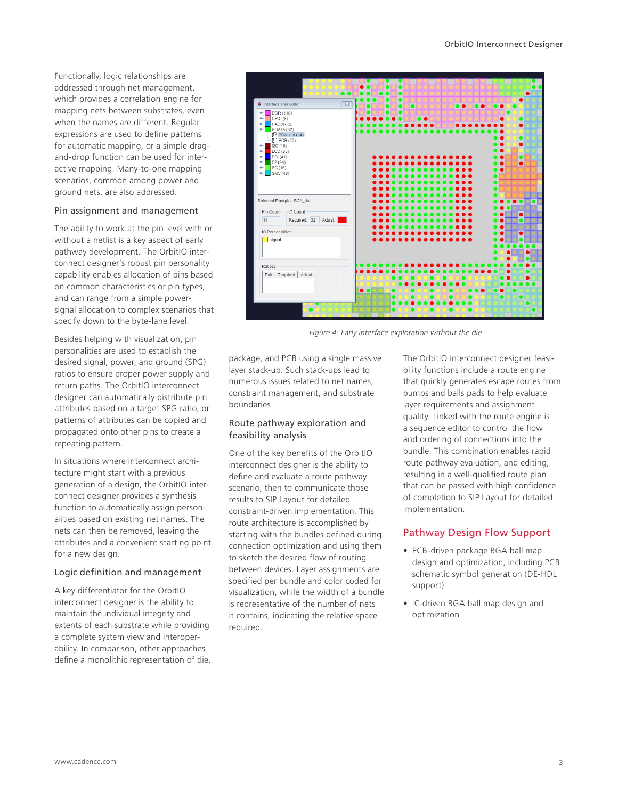Functionally, logic relationships are addressed through net management, which provides a correlation engine for mapping nets between substrates, even when the names are different. Regular expressions are used to define patterns for automatic mapping, or a simple dragand-drop function can be used for interactive mapping. Many-to-one mapping scenarios, common among power and ground nets, are also addressed.

#### Pin assignment and management

The ability to work at the pin level with or without a netlist is a key aspect of early pathway development. The OrbitIO interconnect designer's robust pin personality capability enables allocation of pins based on common characteristics or pin types, and can range from a simple powersignal allocation to complex scenarios that specify down to the byte-lane level.

Besides helping with visualization, pin personalities are used to establish the desired signal, power, and ground (SPG) ratios to ensure proper power supply and return paths. The OrbitIO interconnect designer can automatically distribute pin attributes based on a target SPG ratio, or patterns of attributes can be copied and propagated onto other pins to create a repeating pattern.

In situations where interconnect architecture might start with a previous generation of a design, the OrbitIO interconnect designer provides a synthesis function to automatically assign personalities based on existing net names. The nets can then be removed, leaving the attributes and a convenient starting point for a new design.

#### Logic definition and management

A key differentiator for the OrbitIO interconnect designer is the ability to maintain the individual integrity and extents of each substrate while providing a complete system view and interoperability. In comparison, other approaches define a monolithic representation of die,



*Figure 4: Early interface exploration without the die*

package, and PCB using a single massive layer stack-up. Such stack-ups lead to numerous issues related to net names, constraint management, and substrate boundaries.

# Route pathway exploration and feasibility analysis

One of the key benefits of the OrbitIO interconnect designer is the ability to define and evaluate a route pathway scenario, then to communicate those results to SIP Layout for detailed constraint-driven implementation. This route architecture is accomplished by starting with the bundles defined during connection optimization and using them to sketch the desired flow of routing between devices. Layer assignments are specified per bundle and color coded for visualization, while the width of a bundle is representative of the number of nets it contains, indicating the relative space required.

The OrbitIO interconnect designer feasibility functions include a route engine that quickly generates escape routes from bumps and balls pads to help evaluate layer requirements and assignment quality. Linked with the route engine is a sequence editor to control the flow and ordering of connections into the bundle. This combination enables rapid route pathway evaluation, and editing, resulting in a well-qualified route plan that can be passed with high confidence of completion to SIP Layout for detailed implementation.

# Pathway Design Flow Support

- PCB-driven package BGA ball map design and optimization, including PCB schematic symbol generation (DE-HDL support)
- IC-driven BGA ball map design and optimization